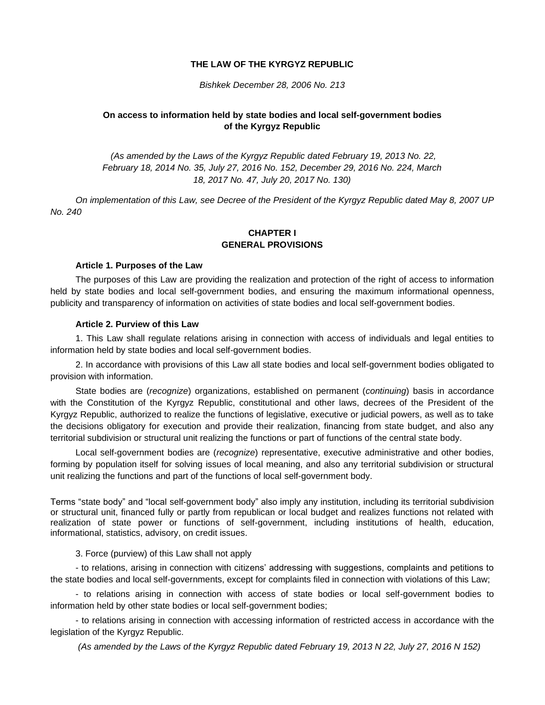### **THE LAW OF THE KYRGYZ REPUBLIC**

#### *Bishkek December 28, 2006 No. 213*

### **On access to information held by state bodies and local self-government bodies of the Kyrgyz Republic**

*(As amended by the Laws of the Kyrgyz Republic dated February 19, 2013 No. 22, February 18, 2014 No. 35, July 27, 2016 No. 152, December 29, 2016 No. 224, March 18, 2017 No. 47, July 20, 2017 No. 130)*

*On implementation of this Law, see Decree of the President of the Kyrgyz Republic dated May 8, 2007 UP No. 240*

### **CHAPTER I GENERAL PROVISIONS**

#### **Article 1. Purposes of the Law**

The purposes of this Law are providing the realization and protection of the right of access to information held by state bodies and local self-government bodies, and ensuring the maximum informational openness, publicity and transparency of information on activities of state bodies and local self-government bodies.

#### **Article 2. Purview of this Law**

1. This Law shall regulate relations arising in connection with access of individuals and legal entities to information held by state bodies and local self-government bodies.

2. In accordance with provisions of this Law all state bodies and local self-government bodies obligated to provision with information.

State bodies are (*recognize*) organizations, established on permanent (*continuing*) basis in accordance with the Constitution of the Kyrgyz Republic, constitutional and other laws, decrees of the President of the Kyrgyz Republic, authorized to realize the functions of legislative, executive or judicial powers, as well as to take the decisions obligatory for execution and provide their realization, financing from state budget, and also any territorial subdivision or structural unit realizing the functions or part of functions of the central state body.

Local self-government bodies are (*recognize*) representative, executive administrative and other bodies, forming by population itself for solving issues of local meaning, and also any territorial subdivision or structural unit realizing the functions and part of the functions of local self-government body.

Terms "state body" and "local self-government body" also imply any institution, including its territorial subdivision or structural unit, financed fully or partly from republican or local budget and realizes functions not related with realization of state power or functions of self-government, including institutions of health, education, informational, statistics, advisory, on credit issues.

3. Force (purview) of this Law shall not apply

- to relations, arising in connection with citizens' addressing with suggestions, complaints and petitions to the state bodies and local self-governments, except for complaints filed in connection with violations of this Law;

- to relations arising in connection with access of state bodies or local self-government bodies to information held by other state bodies or local self-government bodies;

- to relations arising in connection with accessing information of restricted access in accordance with the legislation of the Kyrgyz Republic.

*(As amended by the Laws of the Kyrgyz Republic dated February 19, 2013 N 22, July 27, 2016 N 152)*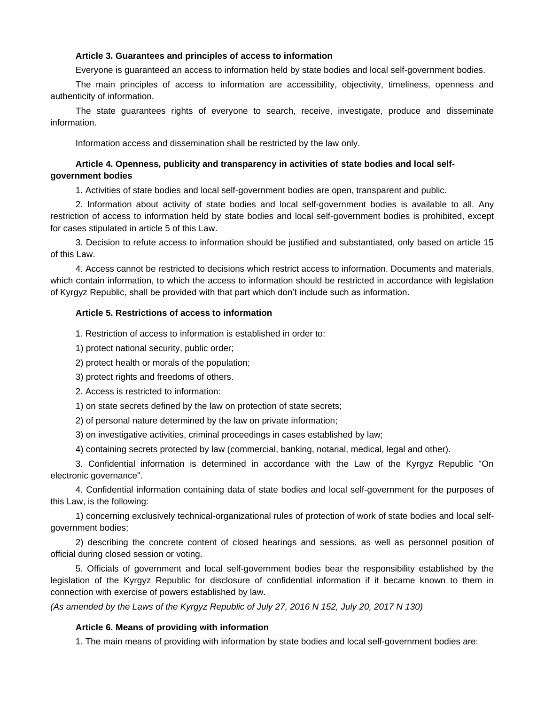#### **Article 3. Guarantees and principles of access to information**

Everyone is guaranteed an access to information held by state bodies and local self-government bodies.

The main principles of access to information are accessibility, objectivity, timeliness, openness and authenticity of information.

The state guarantees rights of everyone to search, receive, investigate, produce and disseminate information.

Information access and dissemination shall be restricted by the law only.

### **Article 4. Openness, publicity and transparency in activities of state bodies and local selfgovernment bodies**

1. Activities of state bodies and local self-government bodies are open, transparent and public.

2. Information about activity of state bodies and local self-government bodies is available to all. Any restriction of access to information held by state bodies and local self-government bodies is prohibited, except for cases stipulated in article 5 of this Law.

3. Decision to refute access to information should be justified and substantiated, only based on article 15 of this Law.

4. Access cannot be restricted to decisions which restrict access to information. Documents and materials, which contain information, to which the access to information should be restricted in accordance with legislation of Kyrgyz Republic, shall be provided with that part which don't include such as information.

### **Article 5. Restrictions of access to information**

1. Restriction of access to information is established in order to:

1) protect national security, public order;

2) protect health or morals of the population;

3) protect rights and freedoms of others.

2. Access is restricted to information:

1) on state secrets defined by the law on protection of state secrets;

2) of personal nature determined by the law on private information;

3) on investigative activities, criminal proceedings in cases established by law;

4) containing secrets protected by law (commercial, banking, notarial, medical, legal and other).

3. Confidential information is determined in accordance with the Law of the Kyrgyz Republic "On electronic governance".

4. Confidential information containing data of state bodies and local self-government for the purposes of this Law, is the following:

1) concerning exclusively technical-organizational rules of protection of work of state bodies and local selfgovernment bodies;

2) describing the concrete content of closed hearings and sessions, as well as personnel position of official during closed session or voting.

5. Officials of government and local self-government bodies bear the responsibility established by the legislation of the Kyrgyz Republic for disclosure of confidential information if it became known to them in connection with exercise of powers established by law.

*(As amended by the Laws of the Kyrgyz Republic of July 27, 2016 N 152, July 20, 2017 N 130)*

### **Article 6. Means of providing with information**

1. The main means of providing with information by state bodies and local self-government bodies are: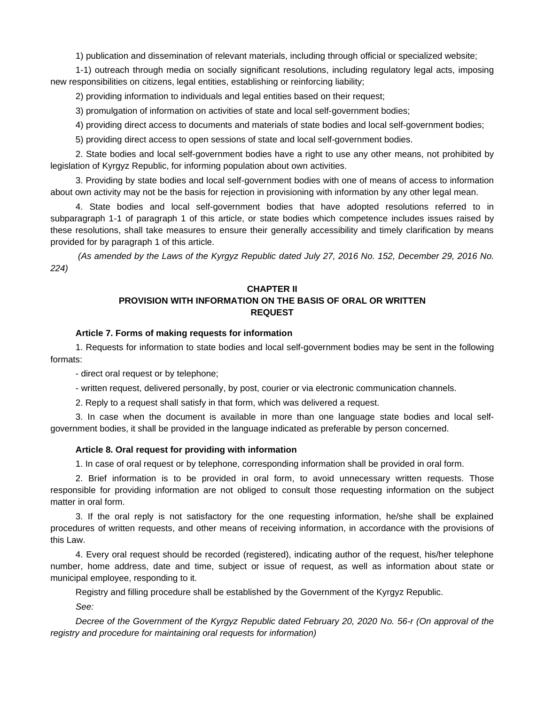1) publication and dissemination of relevant materials, including through official or specialized website;

1-1) outreach through media on socially significant resolutions, including regulatory legal acts, imposing new responsibilities on citizens, legal entities, establishing or reinforcing liability;

2) providing information to individuals and legal entities based on their request;

3) promulgation of information on activities of state and local self-government bodies;

4) providing direct access to documents and materials of state bodies and local self-government bodies;

5) providing direct access to open sessions of state and local self-government bodies.

2. State bodies and local self-government bodies have a right to use any other means, not prohibited by legislation of Kyrgyz Republic, for informing population about own activities.

3. Providing by state bodies and local self-government bodies with one of means of access to information about own activity may not be the basis for rejection in provisioning with information by any other legal mean.

4. State bodies and local self-government bodies that have adopted resolutions referred to in subparagraph 1-1 of paragraph 1 of this article, or state bodies which competence includes issues raised by these resolutions, shall take measures to ensure their generally accessibility and timely clarification by means provided for by paragraph 1 of this article.

*(As amended by the Laws of the Kyrgyz Republic dated July 27, 2016 No. 152, December 29, 2016 No. 224)*

# **CHAPTER II PROVISION WITH INFORMATION ON THE BASIS OF ORAL OR WRITTEN REQUEST**

### **Article 7. Forms of making requests for information**

1. Requests for information to state bodies and local self-government bodies may be sent in the following formats:

- direct oral request or by telephone;

- written request, delivered personally, by post, courier or via electronic communication channels.

2. Reply to a request shall satisfy in that form, which was delivered a request.

3. In case when the document is available in more than one language state bodies and local selfgovernment bodies, it shall be provided in the language indicated as preferable by person concerned.

#### **Article 8. Oral request for providing with information**

1. In case of oral request or by telephone, corresponding information shall be provided in oral form.

2. Brief information is to be provided in oral form, to avoid unnecessary written requests. Those responsible for providing information are not obliged to consult those requesting information on the subject matter in oral form.

3. If the oral reply is not satisfactory for the one requesting information, he/she shall be explained procedures of written requests, and other means of receiving information, in accordance with the provisions of this Law.

4. Every oral request should be recorded (registered), indicating author of the request, his/her telephone number, home address, date and time, subject or issue of request, as well as information about state or municipal employee, responding to it.

Registry and filling procedure shall be established by the Government of the Kyrgyz Republic. *See:*

*Decree of the Government of the Kyrgyz Republic dated February 20, 2020 No. 56-r (On approval of the registry and procedure for maintaining oral requests for information)*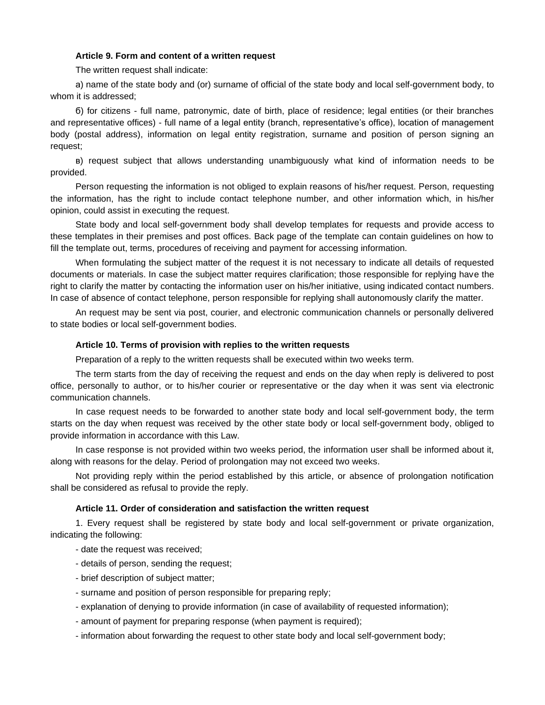#### **Article 9. Form and content of a written request**

The written request shall indicate:

а) name of the state body and (or) surname of official of the state body and local self-government body, to whom it is addressed;

б) for citizens - full name, patronymic, date of birth, place of residence; legal entities (or their branches and representative offices) - full name of a legal entity (branch, representative's office), location of management body (postal address), information on legal entity registration, surname and position of person signing an request;

в) request subject that allows understanding unambiguously what kind of information needs to be provided.

Person requesting the information is not obliged to explain reasons of his/her request. Person, requesting the information, has the right to include contact telephone number, and other information which, in his/her opinion, could assist in executing the request.

State body and local self-government body shall develop templates for requests and provide access to these templates in their premises and post offices. Back page of the template can contain guidelines on how to fill the template out, terms, procedures of receiving and payment for accessing information.

When formulating the subject matter of the request it is not necessary to indicate all details of requested documents or materials. In case the subject matter requires clarification; those responsible for replying have the right to clarify the matter by contacting the information user on his/her initiative, using indicated contact numbers. In case of absence of contact telephone, person responsible for replying shall autonomously clarify the matter.

An request may be sent via post, courier, and electronic communication channels or personally delivered to state bodies or local self-government bodies.

#### **Article 10. Terms of provision with replies to the written requests**

Preparation of a reply to the written requests shall be executed within two weeks term.

The term starts from the day of receiving the request and ends on the day when reply is delivered to post office, personally to author, or to his/her courier or representative or the day when it was sent via electronic communication channels.

In case request needs to be forwarded to another state body and local self-government body, the term starts on the day when request was received by the other state body or local self-government body, obliged to provide information in accordance with this Law.

In case response is not provided within two weeks period, the information user shall be informed about it, along with reasons for the delay. Period of prolongation may not exceed two weeks.

Not providing reply within the period established by this article, or absence of prolongation notification shall be considered as refusal to provide the reply.

#### **Article 11. Order of consideration and satisfaction the written request**

1. Every request shall be registered by state body and local self-government or private organization, indicating the following:

- date the request was received;
- details of person, sending the request;
- brief description of subject matter;
- surname and position of person responsible for preparing reply;
- explanation of denying to provide information (in case of availability of requested information);
- amount of payment for preparing response (when payment is required);

- information about forwarding the request to other state body and local self-government body;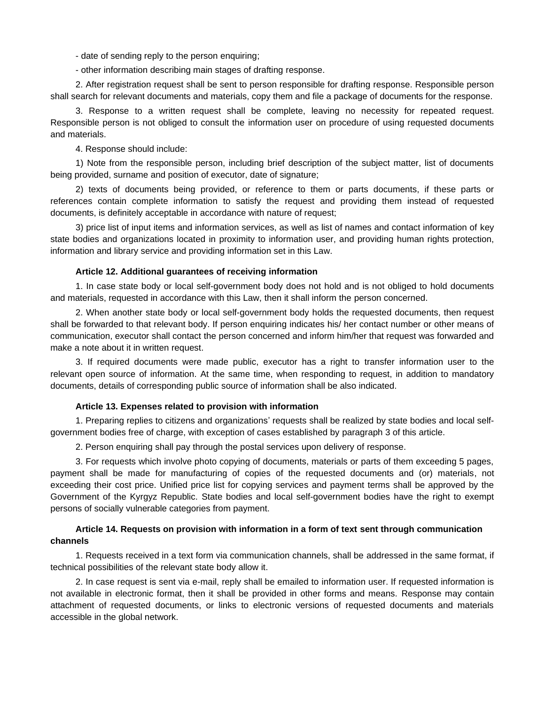- date of sending reply to the person enquiring;

- other information describing main stages of drafting response.

2. After registration request shall be sent to person responsible for drafting response. Responsible person shall search for relevant documents and materials, copy them and file a package of documents for the response.

3. Response to a written request shall be complete, leaving no necessity for repeated request. Responsible person is not obliged to consult the information user on procedure of using requested documents and materials.

4. Response should include:

1) Note from the responsible person, including brief description of the subject matter, list of documents being provided, surname and position of executor, date of signature;

2) texts of documents being provided, or reference to them or parts documents, if these parts or references contain complete information to satisfy the request and providing them instead of requested documents, is definitely acceptable in accordance with nature of request;

3) price list of input items and information services, as well as list of names and contact information of key state bodies and organizations located in proximity to information user, and providing human rights protection, information and library service and providing information set in this Law.

### **Article 12. Additional guarantees of receiving information**

1. In case state body or local self-government body does not hold and is not obliged to hold documents and materials, requested in accordance with this Law, then it shall inform the person concerned.

2. When another state body or local self-government body holds the requested documents, then request shall be forwarded to that relevant body. If person enquiring indicates his/ her contact number or other means of communication, executor shall contact the person concerned and inform him/her that request was forwarded and make a note about it in written request.

3. If required documents were made public, executor has a right to transfer information user to the relevant open source of information. At the same time, when responding to request, in addition to mandatory documents, details of corresponding public source of information shall be also indicated.

### **Article 13. Expenses related to provision with information**

1. Preparing replies to citizens and organizations' requests shall be realized by state bodies and local selfgovernment bodies free of charge, with exception of cases established by paragraph 3 of this article.

2. Person enquiring shall pay through the postal services upon delivery of response.

3. For requests which involve photo copying of documents, materials or parts of them exceeding 5 pages, payment shall be made for manufacturing of copies of the requested documents and (or) materials, not exceeding their cost price. Unified price list for copying services and payment terms shall be approved by the Government of the Kyrgyz Republic. State bodies and local self-government bodies have the right to exempt persons of socially vulnerable categories from payment.

# **Article 14. Requests on provision with information in a form of text sent through communication channels**

1. Requests received in a text form via communication channels, shall be addressed in the same format, if technical possibilities of the relevant state body allow it.

2. In case request is sent via e-mail, reply shall be emailed to information user. If requested information is not available in electronic format, then it shall be provided in other forms and means. Response may contain attachment of requested documents, or links to electronic versions of requested documents and materials accessible in the global network.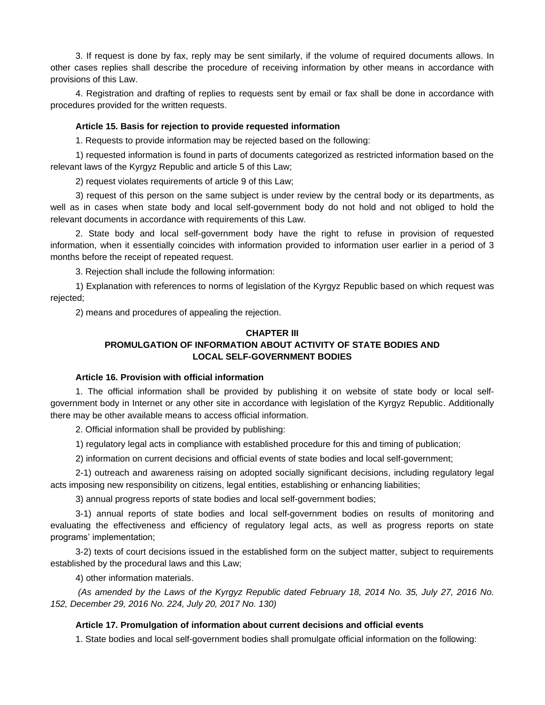3. If request is done by fax, reply may be sent similarly, if the volume of required documents allows. In other cases replies shall describe the procedure of receiving information by other means in accordance with provisions of this Law.

4. Registration and drafting of replies to requests sent by email or fax shall be done in accordance with procedures provided for the written requests.

#### **Article 15. Basis for rejection to provide requested information**

1. Requests to provide information may be rejected based on the following:

1) requested information is found in parts of documents categorized as restricted information based on the relevant laws of the Kyrgyz Republic and article 5 of this Law;

2) request violates requirements of article 9 of this Law;

3) request of this person on the same subject is under review by the central body or its departments, as well as in cases when state body and local self-government body do not hold and not obliged to hold the relevant documents in accordance with requirements of this Law.

2. State body and local self-government body have the right to refuse in provision of requested information, when it essentially coincides with information provided to information user earlier in a period of 3 months before the receipt of repeated request.

3. Rejection shall include the following information:

1) Explanation with references to norms of legislation of the Kyrgyz Republic based on which request was rejected;

2) means and procedures of appealing the rejection.

# **CHAPTER III**

# **PROMULGATION OF INFORMATION ABOUT ACTIVITY OF STATE BODIES AND LOCAL SELF-GOVERNMENT BODIES**

# **Article 16. Provision with official information**

1. The official information shall be provided by publishing it on website of state body or local selfgovernment body in Internet or any other site in accordance with legislation of the Kyrgyz Republic. Additionally there may be other available means to access official information.

2. Official information shall be provided by publishing:

1) regulatory legal acts in compliance with established procedure for this and timing of publication;

2) information on current decisions and official events of state bodies and local self-government;

2-1) outreach and awareness raising on adopted socially significant decisions, including regulatory legal acts imposing new responsibility on citizens, legal entities, establishing or enhancing liabilities;

3) annual progress reports of state bodies and local self-government bodies;

3-1) annual reports of state bodies and local self-government bodies on results of monitoring and evaluating the effectiveness and efficiency of regulatory legal acts, as well as progress reports on state programs' implementation;

3-2) texts of court decisions issued in the established form on the subject matter, subject to requirements established by the procedural laws and this Law;

4) other information materials.

*(As amended by the Laws of the Kyrgyz Republic dated February 18, 2014 No. 35, July 27, 2016 No. 152, December 29, 2016 No. 224, July 20, 2017 No. 130)*

### **Article 17. Promulgation of information about current decisions and official events**

1. State bodies and local self-government bodies shall promulgate official information on the following: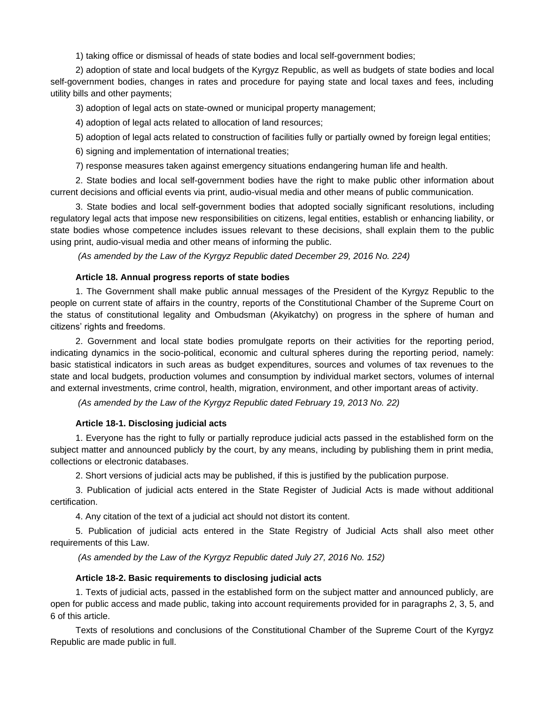1) taking office or dismissal of heads of state bodies and local self-government bodies;

2) adoption of state and local budgets of the Kyrgyz Republic, as well as budgets of state bodies and local self-government bodies, changes in rates and procedure for paying state and local taxes and fees, including utility bills and other payments;

3) adoption of legal acts on state-owned or municipal property management;

4) adoption of legal acts related to allocation of land resources;

5) adoption of legal acts related to construction of facilities fully or partially owned by foreign legal entities;

6) signing and implementation of international treaties;

7) response measures taken against emergency situations endangering human life and health.

2. State bodies and local self-government bodies have the right to make public other information about current decisions and official events via print, audio-visual media and other means of public communication.

3. State bodies and local self-government bodies that adopted socially significant resolutions, including regulatory legal acts that impose new responsibilities on citizens, legal entities, establish or enhancing liability, or state bodies whose competence includes issues relevant to these decisions, shall explain them to the public using print, audio-visual media and other means of informing the public.

*(As amended by the Law of the Kyrgyz Republic dated December 29, 2016 No. 224)*

#### **Article 18. Annual progress reports of state bodies**

1. The Government shall make public annual messages of the President of the Kyrgyz Republic to the people on current state of affairs in the country, reports of the Constitutional Chamber of the Supreme Court on the status of constitutional legality and Ombudsman (Akyikatchy) on progress in the sphere of human and citizens' rights and freedoms.

2. Government and local state bodies promulgate reports on their activities for the reporting period, indicating dynamics in the socio-political, economic and cultural spheres during the reporting period, namely: basic statistical indicators in such areas as budget expenditures, sources and volumes of tax revenues to the state and local budgets, production volumes and consumption by individual market sectors, volumes of internal and external investments, crime control, health, migration, environment, and other important areas of activity.

*(As amended by the Law of the Kyrgyz Republic dated February 19, 2013 No. 22)*

#### **Article 18-1. Disclosing judicial acts**

1. Everyone has the right to fully or partially reproduce judicial acts passed in the established form on the subject matter and announced publicly by the court, by any means, including by publishing them in print media, collections or electronic databases.

2. Short versions of judicial acts may be published, if this is justified by the publication purpose.

3. Publication of judicial acts entered in the State Register of Judicial Acts is made without additional certification.

4. Any citation of the text of a judicial act should not distort its content.

5. Publication of judicial acts entered in the State Registry of Judicial Acts shall also meet other requirements of this Law.

*(As amended by the Law of the Kyrgyz Republic dated July 27, 2016 No. 152)*

### **Article 18-2. Basic requirements to disclosing judicial acts**

1. Texts of judicial acts, passed in the established form on the subject matter and announced publicly, are open for public access and made public, taking into account requirements provided for in paragraphs 2, 3, 5, and 6 of this article.

Texts of resolutions and conclusions of the Constitutional Chamber of the Supreme Court of the Kyrgyz Republic are made public in full.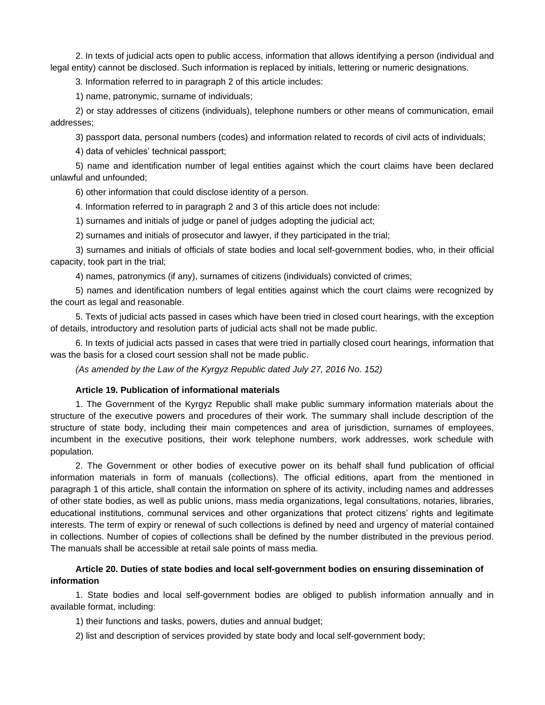2. In texts of judicial acts open to public access, information that allows identifying a person (individual and legal entity) cannot be disclosed. Such information is replaced by initials, lettering or numeric designations.

3. Information referred to in paragraph 2 of this article includes:

1) name, patronymic, surname of individuals;

2) or stay addresses of citizens (individuals), telephone numbers or other means of communication, email addresses;

3) passport data, personal numbers (codes) and information related to records of civil acts of individuals;

4) data of vehicles' technical passport;

5) name and identification number of legal entities against which the court claims have been declared unlawful and unfounded;

6) other information that could disclose identity of a person.

4. Information referred to in paragraph 2 and 3 of this article does not include:

1) surnames and initials of judge or panel of judges adopting the judicial act;

2) surnames and initials of prosecutor and lawyer, if they participated in the trial;

3) surnames and initials of officials of state bodies and local self-government bodies, who, in their official capacity, took part in the trial;

4) names, patronymics (if any), surnames of citizens (individuals) convicted of crimes;

5) names and identification numbers of legal entities against which the court claims were recognized by the court as legal and reasonable.

5. Texts of judicial acts passed in cases which have been tried in closed court hearings, with the exception of details, introductory and resolution parts of judicial acts shall not be made public.

6. In texts of judicial acts passed in cases that were tried in partially closed court hearings, information that was the basis for a closed court session shall not be made public.

*(As amended by the Law of the Kyrgyz Republic dated July 27, 2016 No. 152)*

# **Article 19. Publication of informational materials**

1. The Government of the Kyrgyz Republic shall make public summary information materials about the structure of the executive powers and procedures of their work. The summary shall include description of the structure of state body, including their main competences and area of jurisdiction, surnames of employees, incumbent in the executive positions, their work telephone numbers, work addresses, work schedule with population.

2. The Government or other bodies of executive power on its behalf shall fund publication of official information materials in form of manuals (collections). The official editions, apart from the mentioned in paragraph 1 of this article, shall contain the information on sphere of its activity, including names and addresses of other state bodies, as well as public unions, mass media organizations, legal consultations, notaries, libraries, educational institutions, communal services and other organizations that protect citizens' rights and legitimate interests. The term of expiry or renewal of such collections is defined by need and urgency of material contained in collections. Number of copies of collections shall be defined by the number distributed in the previous period. The manuals shall be accessible at retail sale points of mass media.

# **Article 20. Duties of state bodies and local self-government bodies on ensuring dissemination of information**

1. State bodies and local self-government bodies are obliged to publish information annually and in available format, including:

1) their functions and tasks, powers, duties and annual budget;

2) list and description of services provided by state body and local self-government body;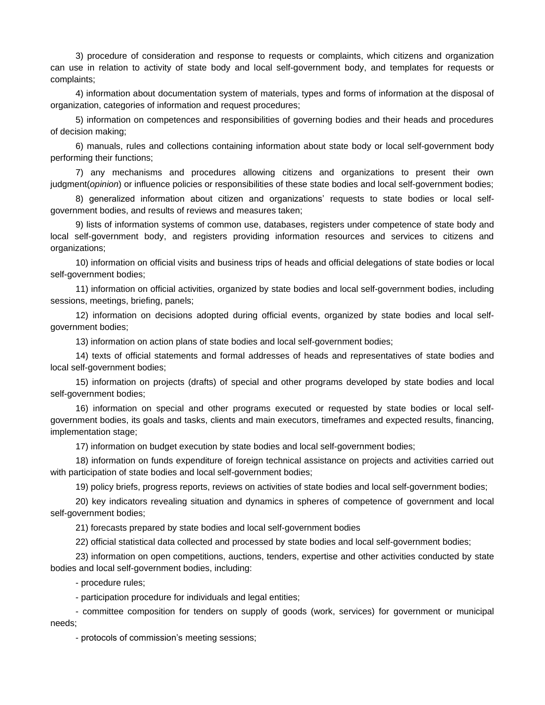3) procedure of consideration and response to requests or complaints, which citizens and organization can use in relation to activity of state body and local self-government body, and templates for requests or complaints;

4) information about documentation system of materials, types and forms of information at the disposal of organization, categories of information and request procedures;

5) information on competences and responsibilities of governing bodies and their heads and procedures of decision making;

6) manuals, rules and collections containing information about state body or local self-government body performing their functions;

7) any mechanisms and procedures allowing citizens and organizations to present their own judgment(*opinion*) or influence policies or responsibilities of these state bodies and local self-government bodies;

8) generalized information about citizen and organizations' requests to state bodies or local selfgovernment bodies, and results of reviews and measures taken;

9) lists of information systems of common use, databases, registers under competence of state body and local self-government body, and registers providing information resources and services to citizens and organizations;

10) information on official visits and business trips of heads and official delegations of state bodies or local self-government bodies;

11) information on official activities, organized by state bodies and local self-government bodies, including sessions, meetings, briefing, panels;

12) information on decisions adopted during official events, organized by state bodies and local selfgovernment bodies;

13) information on action plans of state bodies and local self-government bodies;

14) texts of official statements and formal addresses of heads and representatives of state bodies and local self-government bodies;

15) information on projects (drafts) of special and other programs developed by state bodies and local self-government bodies;

16) information on special and other programs executed or requested by state bodies or local selfgovernment bodies, its goals and tasks, clients and main executors, timeframes and expected results, financing, implementation stage;

17) information on budget execution by state bodies and local self-government bodies;

18) information on funds expenditure of foreign technical assistance on projects and activities carried out with participation of state bodies and local self-government bodies;

19) policy briefs, progress reports, reviews on activities of state bodies and local self-government bodies;

20) key indicators revealing situation and dynamics in spheres of competence of government and local self-government bodies;

21) forecasts prepared by state bodies and local self-government bodies

22) official statistical data collected and processed by state bodies and local self-government bodies;

23) information on open competitions, auctions, tenders, expertise and other activities conducted by state bodies and local self-government bodies, including:

- procedure rules;

- participation procedure for individuals and legal entities;

- committee composition for tenders on supply of goods (work, services) for government or municipal needs;

- protocols of commission's meeting sessions;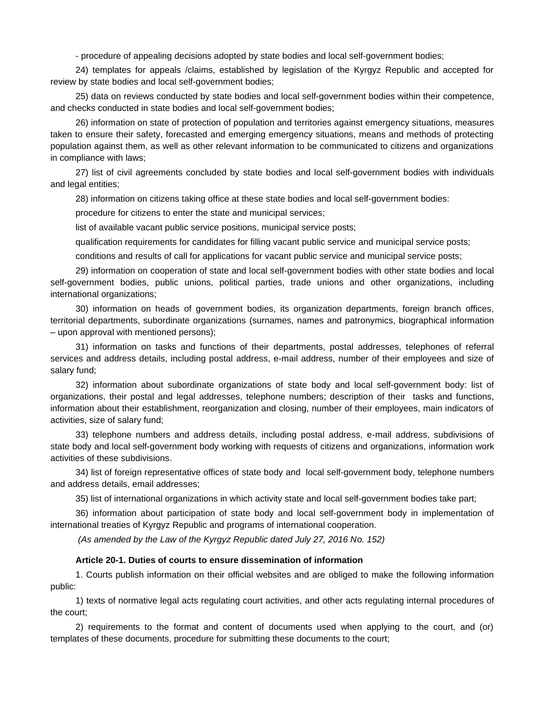- procedure of appealing decisions adopted by state bodies and local self-government bodies;

24) templates for appeals /claims, established by legislation of the Kyrgyz Republic and accepted for review by state bodies and local self-government bodies;

25) data on reviews conducted by state bodies and local self-government bodies within their competence, and checks conducted in state bodies and local self-government bodies;

26) information on state of protection of population and territories against emergency situations, measures taken to ensure their safety, forecasted and emerging emergency situations, means and methods of protecting population against them, as well as other relevant information to be communicated to citizens and organizations in compliance with laws;

27) list of civil agreements concluded by state bodies and local self-government bodies with individuals and legal entities;

28) information on citizens taking office at these state bodies and local self-government bodies:

procedure for citizens to enter the state and municipal services;

list of available vacant public service positions, municipal service posts;

qualification requirements for candidates for filling vacant public service and municipal service posts;

conditions and results of call for applications for vacant public service and municipal service posts;

29) information on cooperation of state and local self-government bodies with other state bodies and local self-government bodies, public unions, political parties, trade unions and other organizations, including international organizations;

30) information on heads of government bodies, its organization departments, foreign branch offices, territorial departments, subordinate organizations (surnames, names and patronymics, biographical information – upon approval with mentioned persons);

31) information on tasks and functions of their departments, postal addresses, telephones of referral services and address details, including postal address, e-mail address, number of their employees and size of salary fund;

32) information about subordinate organizations of state body and local self-government body: list of organizations, their postal and legal addresses, telephone numbers; description of their tasks and functions, information about their establishment, reorganization and closing, number of their employees, main indicators of activities, size of salary fund;

33) telephone numbers and address details, including postal address, e-mail address, subdivisions of state body and local self-government body working with requests of citizens and organizations, information work activities of these subdivisions.

34) list of foreign representative offices of state body and local self-government body, telephone numbers and address details, email addresses;

35) list of international organizations in which activity state and local self-government bodies take part;

36) information about participation of state body and local self-government body in implementation of international treaties of Kyrgyz Republic and programs of international cooperation.

*(As amended by the Law of the Kyrgyz Republic dated July 27, 2016 No. 152)*

#### **Article 20-1. Duties of courts to ensure dissemination of information**

1. Courts publish information on their official websites and are obliged to make the following information public:

1) texts of normative legal acts regulating court activities, and other acts regulating internal procedures of the court;

2) requirements to the format and content of documents used when applying to the court, and (or) templates of these documents, procedure for submitting these documents to the court;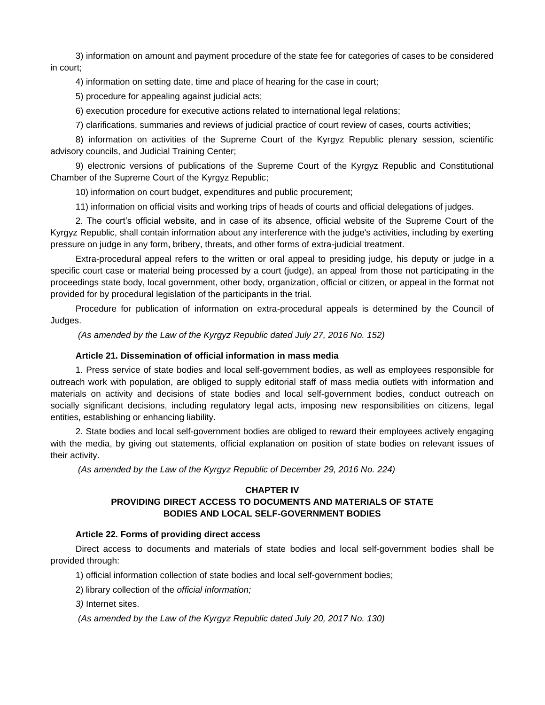3) information on amount and payment procedure of the state fee for categories of cases to be considered in court;

4) information on setting date, time and place of hearing for the case in court;

5) procedure for appealing against judicial acts;

6) execution procedure for executive actions related to international legal relations;

7) clarifications, summaries and reviews of judicial practice of court review of cases, courts activities;

8) information on activities of the Supreme Court of the Kyrgyz Republic plenary session, scientific advisory councils, and Judicial Training Center;

9) electronic versions of publications of the Supreme Court of the Kyrgyz Republic and Constitutional Chamber of the Supreme Court of the Kyrgyz Republic;

10) information on court budget, expenditures and public procurement;

11) information on official visits and working trips of heads of courts and official delegations of judges.

2. The court's official website, and in case of its absence, official website of the Supreme Court of the Kyrgyz Republic, shall contain information about any interference with the judge's activities, including by exerting pressure on judge in any form, bribery, threats, and other forms of extra-judicial treatment.

Extra-procedural appeal refers to the written or oral appeal to presiding judge, his deputy or judge in a specific court case or material being processed by a court (judge), an appeal from those not participating in the proceedings state body, local government, other body, organization, official or citizen, or appeal in the format not provided for by procedural legislation of the participants in the trial.

Procedure for publication of information on extra-procedural appeals is determined by the Council of Judges.

*(As amended by the Law of the Kyrgyz Republic dated July 27, 2016 No. 152)*

### **Article 21. Dissemination of official information in mass media**

1. Press service of state bodies and local self-government bodies, as well as employees responsible for outreach work with population, are obliged to supply editorial staff of mass media outlets with information and materials on activity and decisions of state bodies and local self-government bodies, conduct outreach on socially significant decisions, including regulatory legal acts, imposing new responsibilities on citizens, legal entities, establishing or enhancing liability.

2. State bodies and local self-government bodies are obliged to reward their employees actively engaging with the media, by giving out statements, official explanation on position of state bodies on relevant issues of their activity.

*(As amended by the Law of the Kyrgyz Republic of December 29, 2016 No. 224)*

# **CHAPTER IV PROVIDING DIRECT ACCESS TO DOCUMENTS AND MATERIALS OF STATE BODIES AND LOCAL SELF-GOVERNMENT BODIES**

### **Article 22. Forms of providing direct access**

Direct access to documents and materials of state bodies and local self-government bodies shall be provided through:

1) official information collection of state bodies and local self-government bodies;

2) library collection of the *official information;*

*3)* Internet sites.

*(As amended by the Law of the Kyrgyz Republic dated July 20, 2017 No. 130)*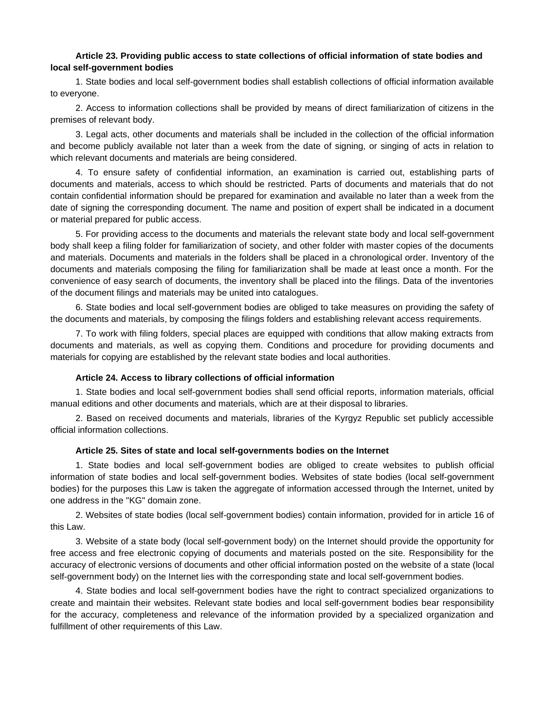### **Article 23. Providing public access to state collections of official information of state bodies and local self-government bodies**

1. State bodies and local self-government bodies shall establish collections of official information available to everyone.

2. Access to information collections shall be provided by means of direct familiarization of citizens in the premises of relevant body.

3. Legal acts, other documents and materials shall be included in the collection of the official information and become publicly available not later than a week from the date of signing, or singing of acts in relation to which relevant documents and materials are being considered.

4. To ensure safety of confidential information, an examination is carried out, establishing parts of documents and materials, access to which should be restricted. Parts of documents and materials that do not contain confidential information should be prepared for examination and available no later than a week from the date of signing the corresponding document. The name and position of expert shall be indicated in a document or material prepared for public access.

5. For providing access to the documents and materials the relevant state body and local self-government body shall keep a filing folder for familiarization of society, and other folder with master copies of the documents and materials. Documents and materials in the folders shall be placed in a chronological order. Inventory of the documents and materials composing the filing for familiarization shall be made at least once a month. For the convenience of easy search of documents, the inventory shall be placed into the filings. Data of the inventories of the document filings and materials may be united into catalogues.

6. State bodies and local self-government bodies are obliged to take measures on providing the safety of the documents and materials, by composing the filings folders and establishing relevant access requirements.

7. To work with filing folders, special places are equipped with conditions that allow making extracts from documents and materials, as well as copying them. Conditions and procedure for providing documents and materials for copying are established by the relevant state bodies and local authorities.

#### **Article 24. Access to library collections of official information**

1. State bodies and local self-government bodies shall send official reports, information materials, official manual editions and other documents and materials, which are at their disposal to libraries.

2. Based on received documents and materials, libraries of the Kyrgyz Republic set publicly accessible official information collections.

#### **Article 25. Sites of state and local self-governments bodies on the Internet**

1. State bodies and local self-government bodies are obliged to create websites to publish official information of state bodies and local self-government bodies. Websites of state bodies (local self-government bodies) for the purposes this Law is taken the aggregate of information accessed through the Internet, united by one address in the "KG" domain zone.

2. Websites of state bodies (local self-government bodies) contain information, provided for in article 16 of this Law.

3. Website of a state body (local self-government body) on the Internet should provide the opportunity for free access and free electronic copying of documents and materials posted on the site. Responsibility for the accuracy of electronic versions of documents and other official information posted on the website of a state (local self-government body) on the Internet lies with the corresponding state and local self-government bodies.

4. State bodies and local self-government bodies have the right to contract specialized organizations to create and maintain their websites. Relevant state bodies and local self-government bodies bear responsibility for the accuracy, completeness and relevance of the information provided by a specialized organization and fulfillment of other requirements of this Law.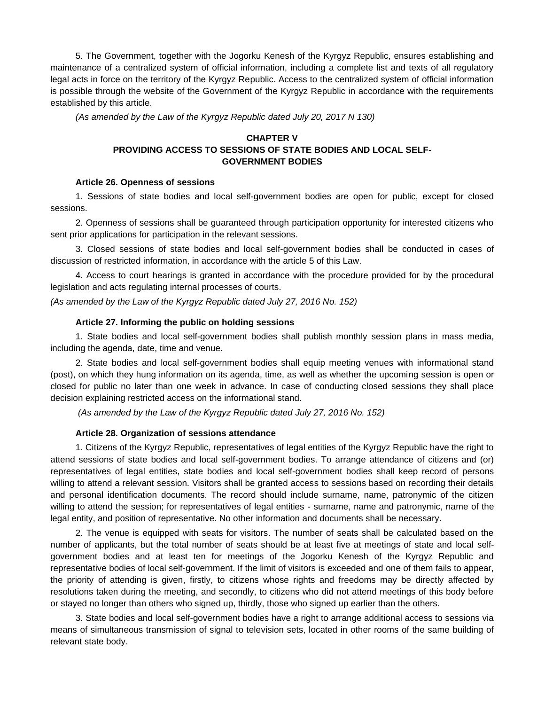5. The Government, together with the Jogorku Kenesh of the Kyrgyz Republic, ensures establishing and maintenance of a centralized system of official information, including a complete list and texts of all regulatory legal acts in force on the territory of the Kyrgyz Republic. Access to the centralized system of official information is possible through the website of the Government of the Kyrgyz Republic in accordance with the requirements established by this article.

*(As amended by the Law of the Kyrgyz Republic dated July 20, 2017 N 130)*

# **CHAPTER V PROVIDING ACCESS TO SESSIONS OF STATE BODIES AND LOCAL SELF-GOVERNMENT BODIES**

### **Article 26. Openness of sessions**

1. Sessions of state bodies and local self-government bodies are open for public, except for closed sessions.

2. Openness of sessions shall be guaranteed through participation opportunity for interested citizens who sent prior applications for participation in the relevant sessions.

3. Closed sessions of state bodies and local self-government bodies shall be conducted in cases of discussion of restricted information, in accordance with the article 5 of this Law.

4. Access to court hearings is granted in accordance with the procedure provided for by the procedural legislation and acts regulating internal processes of courts.

*(As amended by the Law of the Kyrgyz Republic dated July 27, 2016 No. 152)*

### **Article 27. Informing the public on holding sessions**

1. State bodies and local self-government bodies shall publish monthly session plans in mass media, including the agenda, date, time and venue.

2. State bodies and local self-government bodies shall equip meeting venues with informational stand (post), on which they hung information on its agenda, time, as well as whether the upcoming session is open or closed for public no later than one week in advance. In case of conducting closed sessions they shall place decision explaining restricted access on the informational stand.

*(As amended by the Law of the Kyrgyz Republic dated July 27, 2016 No. 152)*

### **Article 28. Organization of sessions attendance**

1. Citizens of the Kyrgyz Republic, representatives of legal entities of the Kyrgyz Republic have the right to attend sessions of state bodies and local self-government bodies. To arrange attendance of citizens and (or) representatives of legal entities, state bodies and local self-government bodies shall keep record of persons willing to attend a relevant session. Visitors shall be granted access to sessions based on recording their details and personal identification documents. The record should include surname, name, patronymic of the citizen willing to attend the session; for representatives of legal entities - surname, name and patronymic, name of the legal entity, and position of representative. No other information and documents shall be necessary.

2. The venue is equipped with seats for visitors. The number of seats shall be calculated based on the number of applicants, but the total number of seats should be at least five at meetings of state and local selfgovernment bodies and at least ten for meetings of the Jogorku Kenesh of the Kyrgyz Republic and representative bodies of local self-government. If the limit of visitors is exceeded and one of them fails to appear, the priority of attending is given, firstly, to citizens whose rights and freedoms may be directly affected by resolutions taken during the meeting, and secondly, to citizens who did not attend meetings of this body before or stayed no longer than others who signed up, thirdly, those who signed up earlier than the others.

3. State bodies and local self-government bodies have a right to arrange additional access to sessions via means of simultaneous transmission of signal to television sets, located in other rooms of the same building of relevant state body.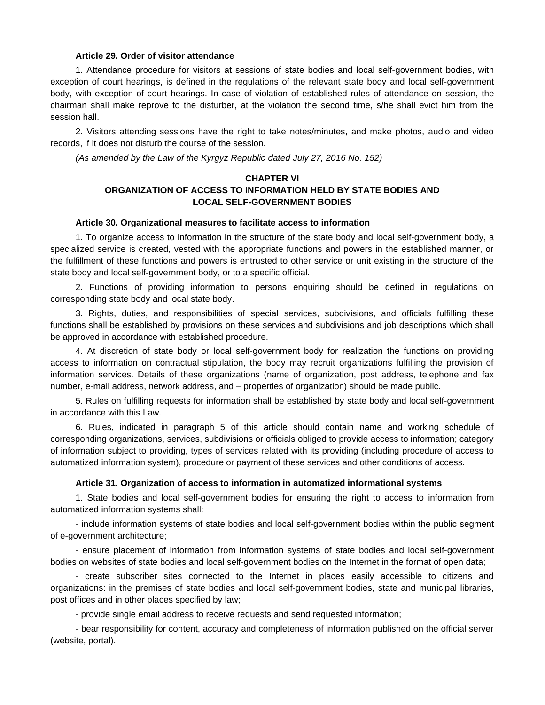### **Article 29. Order of visitor attendance**

1. Attendance procedure for visitors at sessions of state bodies and local self-government bodies, with exception of court hearings, is defined in the regulations of the relevant state body and local self-government body, with exception of court hearings. In case of violation of established rules of attendance on session, the chairman shall make reprove to the disturber, at the violation the second time, s/he shall evict him from the session hall.

2. Visitors attending sessions have the right to take notes/minutes, and make photos, audio and video records, if it does not disturb the course of the session.

*(As amended by the Law of the Kyrgyz Republic dated July 27, 2016 No. 152)*

# **CHAPTER VI ORGANIZATION OF ACCESS TO INFORMATION HELD BY STATE BODIES AND LOCAL SELF-GOVERNMENT BODIES**

#### **Article 30. Organizational measures to facilitate access to information**

1. To organize access to information in the structure of the state body and local self-government body, a specialized service is created, vested with the appropriate functions and powers in the established manner, or the fulfillment of these functions and powers is entrusted to other service or unit existing in the structure of the state body and local self-government body, or to a specific official.

2. Functions of providing information to persons enquiring should be defined in regulations on corresponding state body and local state body.

3. Rights, duties, and responsibilities of special services, subdivisions, and officials fulfilling these functions shall be established by provisions on these services and subdivisions and job descriptions which shall be approved in accordance with established procedure.

4. At discretion of state body or local self-government body for realization the functions on providing access to information on contractual stipulation, the body may recruit organizations fulfilling the provision of information services. Details of these organizations (name of organization, post address, telephone and fax number, e-mail address, network address, and – properties of organization) should be made public.

5. Rules on fulfilling requests for information shall be established by state body and local self-government in accordance with this Law.

6. Rules, indicated in paragraph 5 of this article should contain name and working schedule of corresponding organizations, services, subdivisions or officials obliged to provide access to information; category of information subject to providing, types of services related with its providing (including procedure of access to automatized information system), procedure or payment of these services and other conditions of access.

### **Article 31. Organization of access to information in automatized informational systems**

1. State bodies and local self-government bodies for ensuring the right to access to information from automatized information systems shall:

- include information systems of state bodies and local self-government bodies within the public segment of e-government architecture;

- ensure placement of information from information systems of state bodies and local self-government bodies on websites of state bodies and local self-government bodies on the Internet in the format of open data;

- create subscriber sites connected to the Internet in places easily accessible to citizens and organizations: in the premises of state bodies and local self-government bodies, state and municipal libraries, post offices and in other places specified by law;

- provide single email address to receive requests and send requested information;

- bear responsibility for content, accuracy and completeness of information published on the official server (website, portal).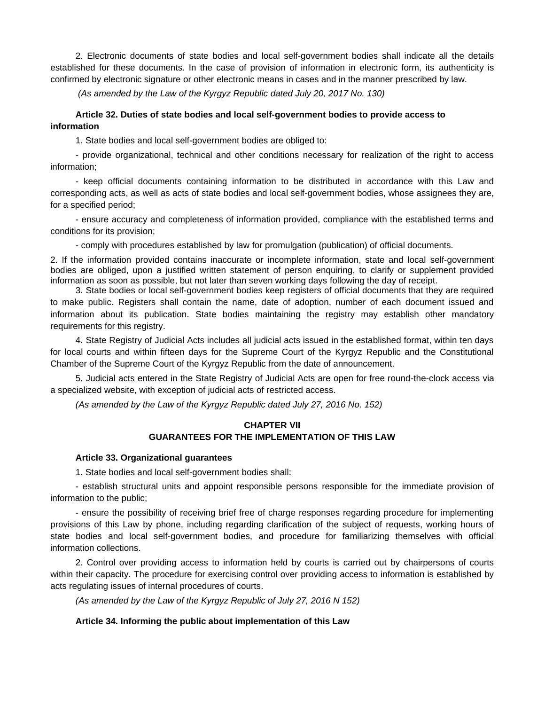2. Electronic documents of state bodies and local self-government bodies shall indicate all the details established for these documents. In the case of provision of information in electronic form, its authenticity is confirmed by electronic signature or other electronic means in cases and in the manner prescribed by law.

*(As amended by the Law of the Kyrgyz Republic dated July 20, 2017 No. 130)*

# **Article 32. Duties of state bodies and local self-government bodies to provide access to information**

1. State bodies and local self-government bodies are obliged to:

- provide organizational, technical and other conditions necessary for realization of the right to access information;

- keep official documents containing information to be distributed in accordance with this Law and corresponding acts, as well as acts of state bodies and local self-government bodies, whose assignees they are, for a specified period;

- ensure accuracy and completeness of information provided, compliance with the established terms and conditions for its provision;

- comply with procedures established by law for promulgation (publication) of official documents.

2. If the information provided contains inaccurate or incomplete information, state and local self-government bodies are obliged, upon a justified written statement of person enquiring, to clarify or supplement provided information as soon as possible, but not later than seven working days following the day of receipt.

3. State bodies or local self-government bodies keep registers of official documents that they are required to make public. Registers shall contain the name, date of adoption, number of each document issued and information about its publication. State bodies maintaining the registry may establish other mandatory requirements for this registry.

4. State Registry of Judicial Acts includes all judicial acts issued in the established format, within ten days for local courts and within fifteen days for the Supreme Court of the Kyrgyz Republic and the Constitutional Chamber of the Supreme Court of the Kyrgyz Republic from the date of announcement.

5. Judicial acts entered in the State Registry of Judicial Acts are open for free round-the-clock access via a specialized website, with exception of judicial acts of restricted access.

*(As amended by the Law of the Kyrgyz Republic dated July 27, 2016 No. 152)*

### **CHAPTER VII GUARANTEES FOR THE IMPLEMENTATION OF THIS LAW**

#### **Article 33. Organizational guarantees**

1. State bodies and local self-government bodies shall:

- establish structural units and appoint responsible persons responsible for the immediate provision of information to the public;

- ensure the possibility of receiving brief free of charge responses regarding procedure for implementing provisions of this Law by phone, including regarding clarification of the subject of requests, working hours of state bodies and local self-government bodies, and procedure for familiarizing themselves with official information collections.

2. Control over providing access to information held by courts is carried out by chairpersons of courts within their capacity. The procedure for exercising control over providing access to information is established by acts regulating issues of internal procedures of courts.

*(As amended by the Law of the Kyrgyz Republic of July 27, 2016 N 152)*

### **Article 34. Informing the public about implementation of this Law**